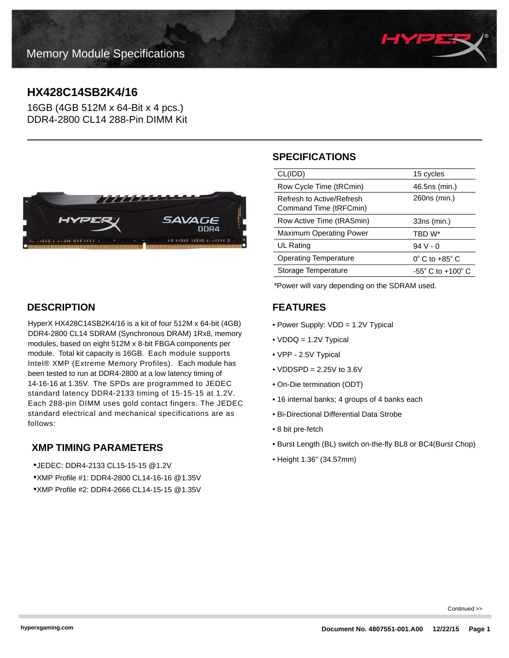

# **HX428C14SB2K4/16**

16GB (4GB 512M x 64-Bit x 4 pcs.) DDR4-2800 CL14 288-Pin DIMM Kit



# **DESCRIPTION**

HyperX HX428C14SB2K4/16 is a kit of four 512M x 64-bit (4GB) DDR4-2800 CL14 SDRAM (Synchronous DRAM) 1Rx8, memory modules, based on eight 512M x 8-bit FBGA components per module. Total kit capacity is 16GB. Each module supports Intel® XMP (Extreme Memory Profiles). Each module has been tested to run at DDR4-2800 at a low latency timing of 14-16-16 at 1.35V. The SPDs are programmed to JEDEC standard latency DDR4-2133 timing of 15-15-15 at 1.2V. Each 288-pin DIMM uses gold contact fingers. The JEDEC standard electrical and mechanical specifications are as follows:

# **XMP TIMING PARAMETERS**

- •JEDEC: DDR4-2133 CL15-15-15 @1.2V
- •XMP Profile #1: DDR4-2800 CL14-16-16 @1.35V
- •XMP Profile #2: DDR4-2666 CL14-15-15 @1.35V

# **SPECIFICATIONS**

| CL(IDD)                                             | 15 cycles                           |
|-----------------------------------------------------|-------------------------------------|
| Row Cycle Time (tRCmin)                             | 46.5ns (min.)                       |
| Refresh to Active/Refresh<br>Command Time (tRFCmin) | 260ns (min.)                        |
| Row Active Time (tRASmin)                           | 33ns (min.)                         |
| <b>Maximum Operating Power</b>                      | TBD W*                              |
| UL Rating                                           | $94V - 0$                           |
| <b>Operating Temperature</b>                        | $0^{\circ}$ C to +85 $^{\circ}$ C   |
| Storage Temperature                                 | $-55^{\circ}$ C to $+100^{\circ}$ C |
|                                                     |                                     |

\*Power will vary depending on the SDRAM used.

# **FEATURES**

- Power Supply: VDD = 1.2V Typical
- VDDQ = 1.2V Typical
- VPP 2.5V Typical
- $\bullet$  VDDSPD = 2.25V to 3.6V
- On-Die termination (ODT)
- 16 internal banks; 4 groups of 4 banks each
- Bi-Directional Differential Data Strobe
- 8 bit pre-fetch
- Burst Length (BL) switch on-the-fly BL8 or BC4(Burst Chop)
- Height 1.36" (34.57mm)

Continued >>